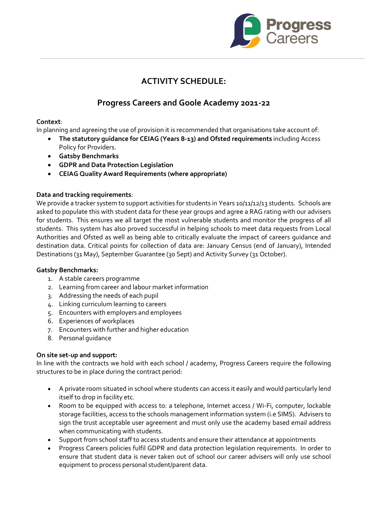

# **ACTIVITY SCHEDULE:**

# **Progress Careers and Goole Academy 2021-22**

## **Context**:

In planning and agreeing the use of provision it is recommended that organisations take account of:

- **The statutory guidance for CEIAG (Years 8-13) and Ofsted requirements** including Access Policy for Providers.
- **Gatsby Benchmarks**
- **GDPR and Data Protection Legislation**
- **CEIAG Quality Award Requirements (where appropriate)**

## **Data and tracking requirements**:

We provide a tracker system to support activities for students in Years 10/11/12/13 students. Schools are asked to populate this with student data for these year groups and agree a RAG rating with our advisers for students. This ensures we all target the most vulnerable students and monitor the progress of all students. This system has also proved successful in helping schools to meet data requests from Local Authorities and Ofsted as well as being able to critically evaluate the impact of careers guidance and destination data. Critical points for collection of data are: January Census (end of January), Intended Destinations (31 May), September Guarantee (30 Sept) and Activity Survey (31 October).

### **Gatsby Benchmarks:**

- 1. A stable careers programme
- 2. Learning from career and labour market information
- 3. Addressing the needs of each pupil
- 4. Linking curriculum learning to careers
- 5. Encounters with employers and employees
- 6. Experiences of workplaces
- 7. Encounters with further and higher education
- 8. Personal guidance

### **On site set-up and support:**

In line with the contracts we hold with each school / academy, Progress Careers require the following structures to be in place during the contract period:

- A private room situated in school where students can access it easily and would particularly lend itself to drop in facility etc.
- Room to be equipped with access to: a telephone, Internet access / Wi-Fi, computer, lockable storage facilities, access to the schools management information system (i.e SIMS). Advisers to sign the trust acceptable user agreement and must only use the academy based email address when communicating with students.
- Support from school staff to access students and ensure their attendance at appointments
- Progress Careers policies fulfil GDPR and data protection legislation requirements. In order to ensure that student data is never taken out of school our career advisers will only use school equipment to process personal student/parent data.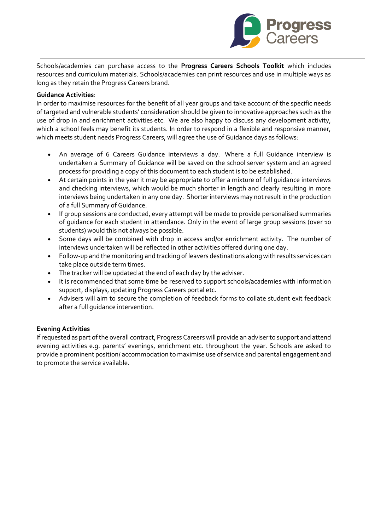

Schools/academies can purchase access to the **Progress Careers Schools Toolkit** which includes resources and curriculum materials. Schools/academies can print resources and use in multiple ways as long as they retain the Progress Careers brand.

### **Guidance Activities**:

In order to maximise resources for the benefit of all year groups and take account of the specific needs of targeted and vulnerable students' consideration should be given to innovative approaches such as the use of drop in and enrichment activities etc. We are also happy to discuss any development activity, which a school feels may benefit its students. In order to respond in a flexible and responsive manner, which meets student needs Progress Careers, will agree the use of Guidance days as follows:

- An average of 6 Careers Guidance interviews a day. Where a full Guidance interview is undertaken a Summary of Guidance will be saved on the school server system and an agreed process for providing a copy of this document to each student is to be established.
- At certain points in the year it may be appropriate to offer a mixture of full guidance interviews and checking interviews, which would be much shorter in length and clearly resulting in more interviews being undertaken in any one day. Shorter interviews may not result in the production of a full Summary of Guidance.
- If group sessions are conducted, every attempt will be made to provide personalised summaries of guidance for each student in attendance. Only in the event of large group sessions (over 10 students) would this not always be possible.
- Some days will be combined with drop in access and/or enrichment activity. The number of interviews undertaken will be reflected in other activities offered during one day.
- Follow-up and the monitoring and tracking of leavers destinations along with results services can take place outside term times.
- The tracker will be updated at the end of each day by the adviser.
- It is recommended that some time be reserved to support schools/academies with information support, displays, updating Progress Careers portal etc.
- Advisers will aim to secure the completion of feedback forms to collate student exit feedback after a full guidance intervention.

### **Evening Activities**

If requested as part of the overall contract, Progress Careers will provide an adviser to support and attend evening activities e.g. parents' evenings, enrichment etc. throughout the year. Schools are asked to provide a prominent position/ accommodation to maximise use of service and parental engagement and to promote the service available.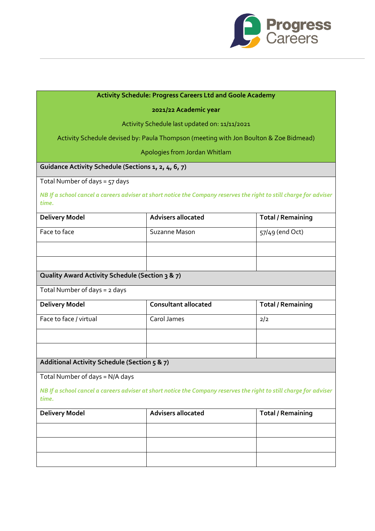

# **Activity Schedule: Progress Careers Ltd and Goole Academy**

### **2021/22 Academic year**

### Activity Schedule last updated on: 11/11/2021

Activity Schedule devised by: Paula Thompson (meeting with Jon Boulton & Zoe Bidmead)

Apologies from Jordan Whitlam

# **Guidance Activity Schedule (Sections 1, 2, 4, 6, 7)**

Total Number of days = 57 days

*NB If a school cancel a careers adviser at short notice the Company reserves the right to still charge for adviser time.*

| <b>Delivery Model</b>                           | <b>Advisers allocated</b>                                                                                          | <b>Total / Remaining</b> |
|-------------------------------------------------|--------------------------------------------------------------------------------------------------------------------|--------------------------|
| Face to face                                    | Suzanne Mason                                                                                                      | 57/49 (end Oct)          |
|                                                 |                                                                                                                    |                          |
|                                                 |                                                                                                                    |                          |
| Quality Award Activity Schedule (Section 3 & 7) |                                                                                                                    |                          |
| Total Number of days = 2 days                   |                                                                                                                    |                          |
| <b>Delivery Model</b>                           | <b>Consultant allocated</b>                                                                                        | <b>Total / Remaining</b> |
| Face to face / virtual                          | Carol James                                                                                                        | 2/2                      |
|                                                 |                                                                                                                    |                          |
|                                                 |                                                                                                                    |                          |
| Additional Activity Schedule (Section 5 & 7)    |                                                                                                                    |                          |
| Total Number of days = N/A days                 |                                                                                                                    |                          |
| time.                                           | NB If a school cancel a careers adviser at short notice the Company reserves the right to still charge for adviser |                          |
| <b>Delivery Model</b>                           | <b>Advisers allocated</b>                                                                                          | <b>Total / Remaining</b> |
|                                                 |                                                                                                                    |                          |
|                                                 |                                                                                                                    |                          |
|                                                 |                                                                                                                    |                          |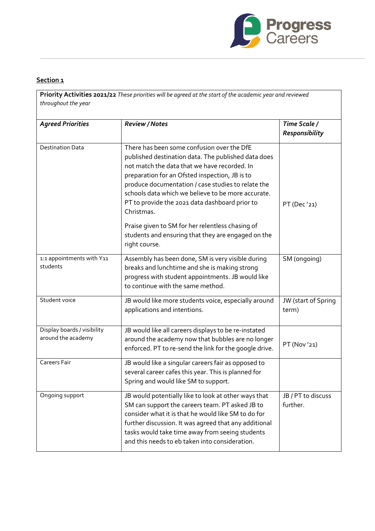

# **Section 1**

**Priority Activities 2021/22** *These priorities will be agreed at the start of the academic year and reviewed throughout the year*

| <b>Agreed Priorities</b>                          | <b>Review / Notes</b>                                                                                                                                                                                                                                                                                                                                                                                                               | Time Scale /<br><b>Responsibility</b> |
|---------------------------------------------------|-------------------------------------------------------------------------------------------------------------------------------------------------------------------------------------------------------------------------------------------------------------------------------------------------------------------------------------------------------------------------------------------------------------------------------------|---------------------------------------|
| <b>Destination Data</b>                           | There has been some confusion over the DfE<br>published destination data. The published data does<br>not match the data that we have recorded. In<br>preparation for an Ofsted inspection, JB is to<br>produce documentation / case studies to relate the<br>schools data which we believe to be more accurate.<br>PT to provide the 2021 data dashboard prior to<br>Christmas.<br>Praise given to SM for her relentless chasing of | PT (Dec'21)                           |
|                                                   | students and ensuring that they are engaged on the<br>right course.                                                                                                                                                                                                                                                                                                                                                                 |                                       |
| 1:1 appointments with Y11<br>students             | Assembly has been done, SM is very visible during<br>breaks and lunchtime and she is making strong<br>progress with student appointments. JB would like<br>to continue with the same method.                                                                                                                                                                                                                                        | SM (ongoing)                          |
| Student voice                                     | JB would like more students voice, especially around<br>applications and intentions.                                                                                                                                                                                                                                                                                                                                                | JW (start of Spring<br>term)          |
| Display boards / visibility<br>around the academy | JB would like all careers displays to be re-instated<br>around the academy now that bubbles are no longer<br>enforced. PT to re-send the link for the google drive.                                                                                                                                                                                                                                                                 | PT (Nov '21)                          |
| <b>Careers Fair</b>                               | JB would like a singular careers fair as opposed to<br>several career cafes this year. This is planned for<br>Spring and would like SM to support.                                                                                                                                                                                                                                                                                  |                                       |
| Ongoing support                                   | JB would potentially like to look at other ways that<br>SM can support the careers team. PT asked JB to<br>consider what it is that he would like SM to do for<br>further discussion. It was agreed that any additional<br>tasks would take time away from seeing students<br>and this needs to eb taken into consideration.                                                                                                        | JB / PT to discuss<br>further.        |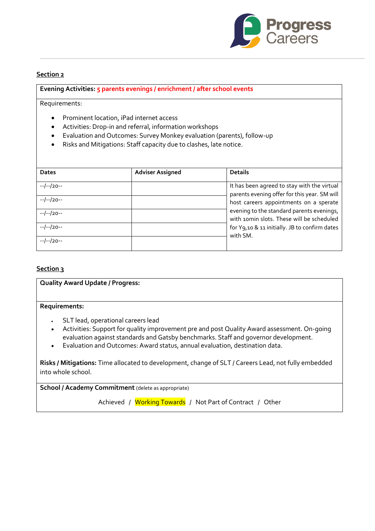

### **Section 2**

#### **Evening Activities: 5 parents evenings / enrichment / after school events**

Requirements:

- Prominent location, iPad internet access
- Activities: Drop-in and referral, information workshops
- Evaluation and Outcomes: Survey Monkey evaluation (parents), follow-up
- Risks and Mitigations: Staff capacity due to clashes, late notice.

| <b>Dates</b> | <b>Adviser Assigned</b> | <b>Details</b>                                                                              |
|--------------|-------------------------|---------------------------------------------------------------------------------------------|
| $-/-/20-$    |                         | It has been agreed to stay with the virtual<br>parents evening offer for this year. SM will |
| $-/-/20-$    |                         | host careers appointments on a sperate                                                      |
| $-/-/20-$    |                         | evening to the standard parents evenings,<br>with 10min slots. These will be scheduled      |
| $-/-/20-$    |                         | for Y9,10 & 11 initially. JB to confirm dates<br>with SM.                                   |
| $-/-/20-$    |                         |                                                                                             |

### **Section 3**

| <b>Quality Award Update / Progress:</b> |
|-----------------------------------------|
| <b>Requirements:</b>                    |
| . SLT lead, operational careers lead    |

- Activities: Support for quality improvement pre and post Quality Award assessment. On-going evaluation against standards and Gatsby benchmarks. Staff and governor development.
- Evaluation and Outcomes: Award status, annual evaluation, destination data.

**Risks / Mitigations:** Time allocated to development, change of SLT / Careers Lead, not fully embedded into whole school.

**School / Academy Commitment** (delete as appropriate)

Achieved / Working Towards / Not Part of Contract / Other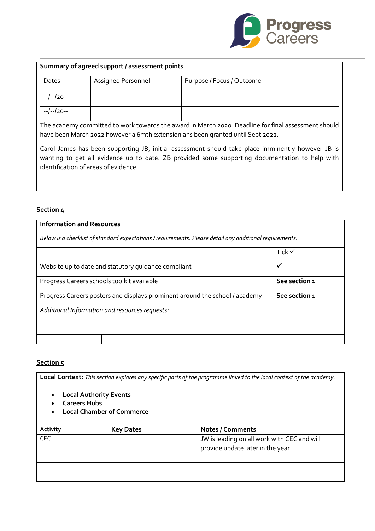

| Summary of agreed support / assessment points |                           |                           |  |
|-----------------------------------------------|---------------------------|---------------------------|--|
| Dates                                         | <b>Assigned Personnel</b> | Purpose / Focus / Outcome |  |
| --/--/20--                                    |                           |                           |  |
| --/--/20--                                    |                           |                           |  |

The academy committed to work towards the award in March 2020. Deadline for final assessment should have been March 2022 however a 6mth extension ahs been granted until Sept 2022.

Carol James has been supporting JB, initial assessment should take place imminently however JB is wanting to get all evidence up to date. ZB provided some supporting documentation to help with identification of areas of evidence.

## **Section 4**

## **Information and Resources**

*Below is a checklist of standard expectations / requirements. Please detail any additional requirements.*

|                                                                             | Tick $\checkmark$ |
|-----------------------------------------------------------------------------|-------------------|
| Website up to date and statutory quidance compliant                         |                   |
| Progress Careers schools toolkit available                                  | See section 1     |
| Progress Careers posters and displays prominent around the school / academy | See section 1     |
| Additional Information and resources requests:                              |                   |
|                                                                             |                   |

## **Section 5**

**Local Context:** *This section explores any specific parts of the programme linked to the local context of the academy.*

- **Local Authority Events**
- **Careers Hubs**
- **Local Chamber of Commerce**

| <b>Activity</b> | <b>Key Dates</b> | <b>Notes / Comments</b>                     |
|-----------------|------------------|---------------------------------------------|
| CEC             |                  | JW is leading on all work with CEC and will |
|                 |                  | provide update later in the year.           |
|                 |                  |                                             |
|                 |                  |                                             |
|                 |                  |                                             |